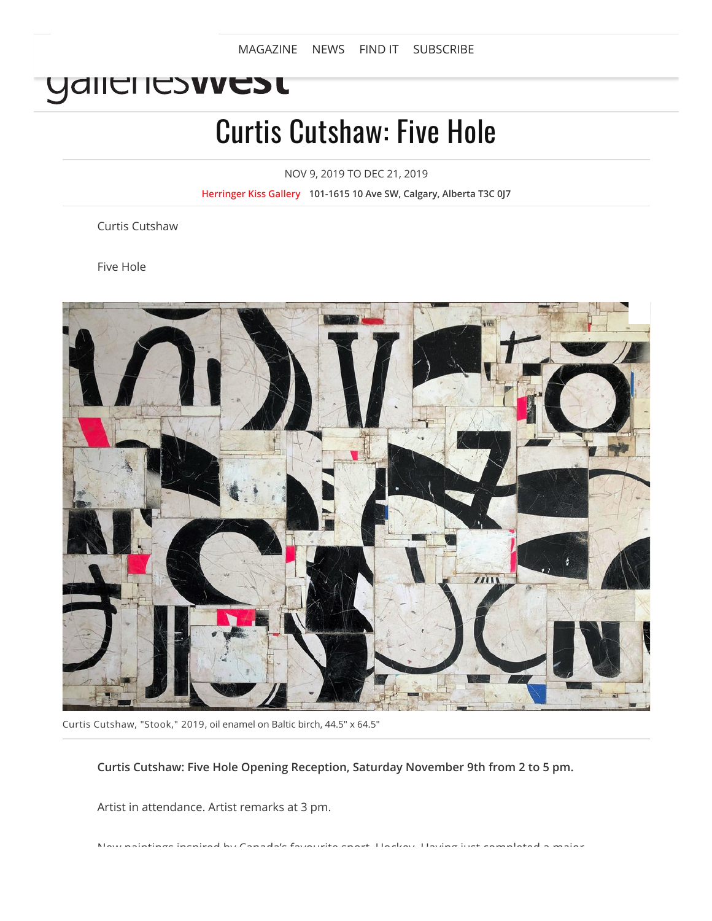[MAGAZINE](https://www.gallerieswest.ca/) [NEWS](https://www.gallerieswest.ca/news) [FIND](https://www.gallerieswest.ca/find-it) IT [SUBSCRIBE](https://goo.gl/CMngMH)

## YAII TI ITS**IV TI**

# Curtis Cutshaw: Five Hole

NOV 9, 2019 TO DEC 21, 2019

**[Herringer](https://www.gallerieswest.ca/locations/herringer-kiss-gallery/) Kiss Gallery 101-1615 10 Ave SW, Calgary, Alberta T3C 0J7**

Curtis Cutshaw

Five Hole



Curtis Cutshaw, "Stook," 2019, oil enamel on Baltic birch, 44.5" x 64.5"

**Curtis Cutshaw: Five Hole Opening Reception, Saturday November 9th from 2 to 5 pm.**

Artist in attendance. Artist remarks at 3 pm.

New paintings inspired by Canada's favourite sport, Hockey. Having just completed a major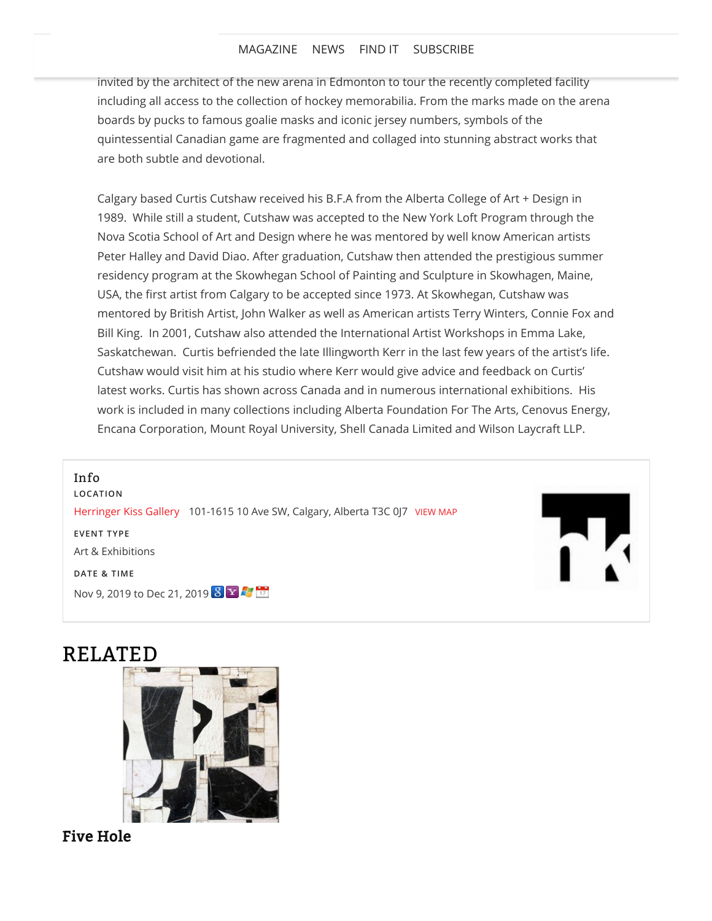#### [MAGAZINE](https://www.gallerieswest.ca/magazine) [NEWS](https://www.gallerieswest.ca/news) FIND IT [SUBSCRIBE](https://goo.gl/CMngMH)

invited by the architect of the new arena in Edmonton to tour the recently completed facility including all access to the collection of hockey memorabilia. From the marks made on the arena boards by pucks to famous goalie masks and iconic jersey numbers, symbols of the quintessential Canadian game are fragmented and collaged into stunning abstract works that are both subtle and devotional.

Calgary based Curtis Cutshaw received his B.F.A from the Alberta College of Art + Design in 1989. While still a student, Cutshaw was accepted to the New York Loft Program through the Nova Scotia School of Art and Design where he was mentored by well know American artists Peter Halley and David Diao. After graduation, Cutshaw then attended the prestigious summer residency program at the Skowhegan School of Painting and Sculpture in Skowhagen, Maine, USA, the first artist from Calgary to be accepted since 1973. At Skowhegan, Cutshaw was mentored by British Artist, John Walker as well as American artists Terry Winters, Connie Fox and Bill King. In 2001, Cutshaw also attended the International Artist Workshops in Emma Lake, Saskatchewan. Curtis befriended the late Illingworth Kerr in the last few years of the artist's life. Cutshaw would visit him at his studio where Kerr would give advice and feedback on Curtis' latest works. Curtis has shown across Canada and in numerous international exhibitions. His work is included in many collections including Alberta Foundation For The Arts, Cenovus Energy, Encana Corporation, Mount Royal University, Shell Canada Limited and Wilson Laycraft LLP.

Info

**LOCATION** [Herringer Kiss Gallery](https://www.gallerieswest.ca/locations/herringer-kiss-gallery/) 101-1615 10 Ave SW, Calgary, Alberta T3C 0J7 [VIEW](https://www.gallerieswest.ca/locations/herringer-kiss-gallery/) MAP

**EVENT TYPE**

Art & Exhibitions

**DATE & TIME**

Nov 9, 2019 to Dec 21, 2019 8 8 4 5



### RELATED



#### Five [Hole](https://www.gallerieswest.ca/magazine/stories/five-hole/)